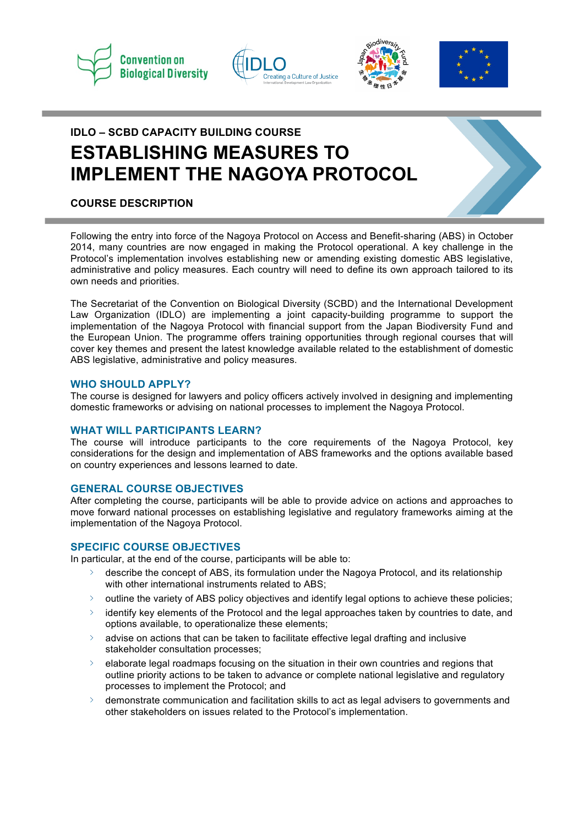







# **IDLO – SCBD CAPACITY BUILDING COURSE ESTABLISHING MEASURES TO IMPLEMENT THE NAGOYA PROTOCOL**

# **COURSE DESCRIPTION**

Following the entry into force of the Nagoya Protocol on Access and Benefit-sharing (ABS) in October 2014, many countries are now engaged in making the Protocol operational. A key challenge in the Protocol's implementation involves establishing new or amending existing domestic ABS legislative, administrative and policy measures. Each country will need to define its own approach tailored to its own needs and priorities.

The Secretariat of the Convention on Biological Diversity (SCBD) and the International Development Law Organization (IDLO) are implementing a joint capacity-building programme to support the implementation of the Nagoya Protocol with financial support from the Japan Biodiversity Fund and the European Union. The programme offers training opportunities through regional courses that will cover key themes and present the latest knowledge available related to the establishment of domestic ABS legislative, administrative and policy measures.

### **WHO SHOULD APPLY?**

The course is designed for lawyers and policy officers actively involved in designing and implementing domestic frameworks or advising on national processes to implement the Nagoya Protocol.

### **WHAT WILL PARTICIPANTS LEARN?**

The course will introduce participants to the core requirements of the Nagoya Protocol, key considerations for the design and implementation of ABS frameworks and the options available based on country experiences and lessons learned to date.

### **GENERAL COURSE OBJECTIVES**

After completing the course, participants will be able to provide advice on actions and approaches to move forward national processes on establishing legislative and regulatory frameworks aiming at the implementation of the Nagoya Protocol.

### **SPECIFIC COURSE OBJECTIVES**

In particular, at the end of the course, participants will be able to:

- describe the concept of ABS, its formulation under the Nagoya Protocol, and its relationship with other international instruments related to ABS;
- outline the variety of ABS policy objectives and identify legal options to achieve these policies;
- identify key elements of the Protocol and the legal approaches taken by countries to date, and  $\sum$ options available, to operationalize these elements;
- advise on actions that can be taken to facilitate effective legal drafting and inclusive  $\sum$ stakeholder consultation processes;
- elaborate legal roadmaps focusing on the situation in their own countries and regions that outline priority actions to be taken to advance or complete national legislative and regulatory processes to implement the Protocol; and
- $\overline{\phantom{0}}$ demonstrate communication and facilitation skills to act as legal advisers to governments and other stakeholders on issues related to the Protocol's implementation.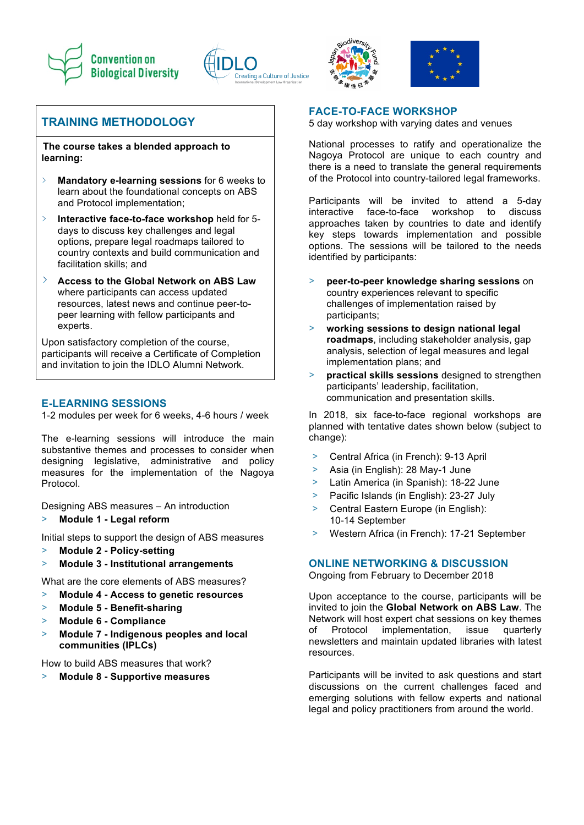







# **TRAINING METHODOLOGY**

**The course takes a blended approach to learning:** 

- $\rightarrow$ **Mandatory e-learning sessions** for 6 weeks to learn about the foundational concepts on ABS and Protocol implementation;
- $\rightarrow$ **Interactive face-to-face workshop** held for 5 days to discuss key challenges and legal options, prepare legal roadmaps tailored to country contexts and build communication and facilitation skills; and
- $\sum_{i=1}^{n}$ **Access to the Global Network on ABS Law**  where participants can access updated resources, latest news and continue peer-topeer learning with fellow participants and experts.

Upon satisfactory completion of the course, participants will receive a Certificate of Completion and invitation to join the IDLO Alumni Network.

# **E-LEARNING SESSIONS**

1-2 modules per week for 6 weeks, 4-6 hours / week

The e-learning sessions will introduce the main substantive themes and processes to consider when designing legislative, administrative and policy measures for the implementation of the Nagoya Protocol.

Designing ABS measures – An introduction

> **Module 1 - Legal reform**

Initial steps to support the design of ABS measures

- > **Module 2 - Policy-setting**
- > **Module 3 - Institutional arrangements**

What are the core elements of ABS measures?

- > **Module 4 - Access to genetic resources**
- > **Module 5 - Benefit-sharing**
- > **Module 6 - Compliance**
- > **Module 7 - Indigenous peoples and local communities (IPLCs)**

How to build ABS measures that work?

> **Module 8 - Supportive measures**

### **FACE-TO-FACE WORKSHOP**

5 day workshop with varying dates and venues

National processes to ratify and operationalize the Nagoya Protocol are unique to each country and there is a need to translate the general requirements of the Protocol into country-tailored legal frameworks.

Participants will be invited to attend a 5-day interactive face-to-face workshop to discuss approaches taken by countries to date and identify key steps towards implementation and possible options. The sessions will be tailored to the needs identified by participants:

- > **peer-to-peer knowledge sharing sessions** on country experiences relevant to specific challenges of implementation raised by participants;
- > **working sessions to design national legal roadmaps**, including stakeholder analysis, gap analysis, selection of legal measures and legal implementation plans; and
- **practical skills sessions** designed to strengthen participants' leadership, facilitation, communication and presentation skills.

In 2018, six face-to-face regional workshops are planned with tentative dates shown below (subject to change):

- > Central Africa (in French): 9-13 April
- > Asia (in English): 28 May-1 June
- > Latin America (in Spanish): 18-22 June
- > Pacific Islands (in English): 23-27 July
- > Central Eastern Europe (in English): 10-14 September
- > Western Africa (in French): 17-21 September

# **ONLINE NETWORKING & DISCUSSION**

Ongoing from February to December 2018

Upon acceptance to the course, participants will be invited to join the **Global Network on ABS Law**. The Network will host expert chat sessions on key themes of Protocol implementation, issue quarterly newsletters and maintain updated libraries with latest resources.

Participants will be invited to ask questions and start discussions on the current challenges faced and emerging solutions with fellow experts and national legal and policy practitioners from around the world.